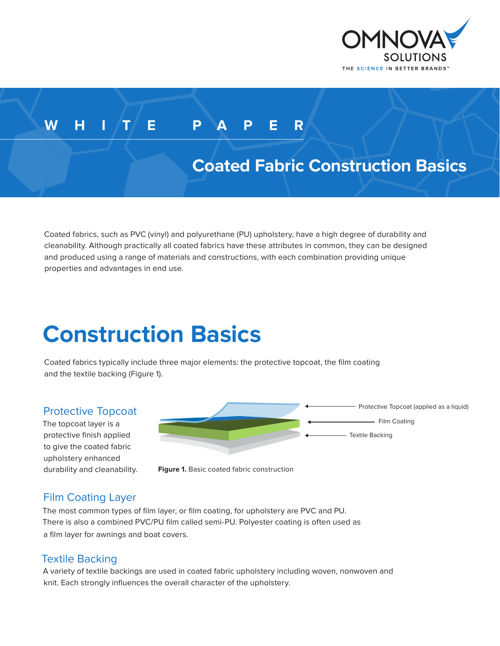

## **WHITE PAPER**

## **Coated Fabric Construction Basics**

Coated fabrics, such as PVC (vinyl) and polyurethane (PU) upholstery, have a high degree of durability and cleanability. Although practically all coated fabrics have these attributes in common, they can be designed and produced using a range of materials and constructions, with each combination providing unique properties and advantages in end use.

# **Construction Basics**

Coated fabrics typically include three major elements: the protective topcoat, the film coating and the textile backing (Figure 1).

#### Protective Topcoat

The topcoat layer is a protective finish applied to give the coated fabric upholstery enhanced



durability and cleanability. **Figure 1.** Basic coated fabric construction

### Film Coating Layer

The most common types of film layer, or film coating, for upholstery are PVC and PU. There is also a combined PVC/PU film called semi-PU. Polyester coating is often used as a film layer for awnings and boat covers.

#### Textile Backing

A variety of textile backings are used in coated fabric upholstery including woven, nonwoven and knit. Each strongly influences the overall character of the upholstery.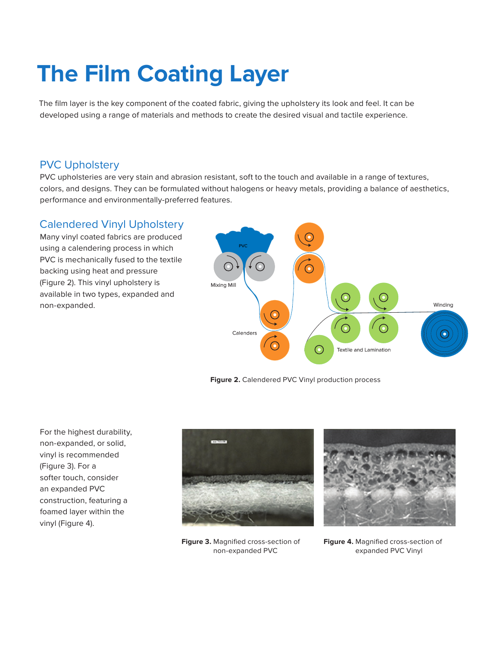# **The Film Coating Layer**

The film layer is the key component of the coated fabric, giving the upholstery its look and feel. It can be developed using a range of materials and methods to create the desired visual and tactile experience.

#### PVC Upholstery

PVC upholsteries are very stain and abrasion resistant, soft to the touch and available in a range of textures, colors, and designs. They can be formulated without halogens or heavy metals, providing a balance of aesthetics, performance and environmentally-preferred features.

#### Calendered Vinyl Upholstery

Many vinyl coated fabrics are produced using a calendering process in which PVC is mechanically fused to the textile backing using heat and pressure (Figure 2). This vinyl upholstery is available in two types, expanded and non-expanded.



**Figure 2.** Calendered PVC Vinyl production process

For the highest durability, non-expanded, or solid, vinyl is recommended (Figure 3). For a softer touch, consider an expanded PVC construction, featuring a foamed layer within the vinyl (Figure 4).



**Figure 3.** Magnified cross-section of non-expanded PVC



**Figure 4.** Magnified cross-section of expanded PVC Vinyl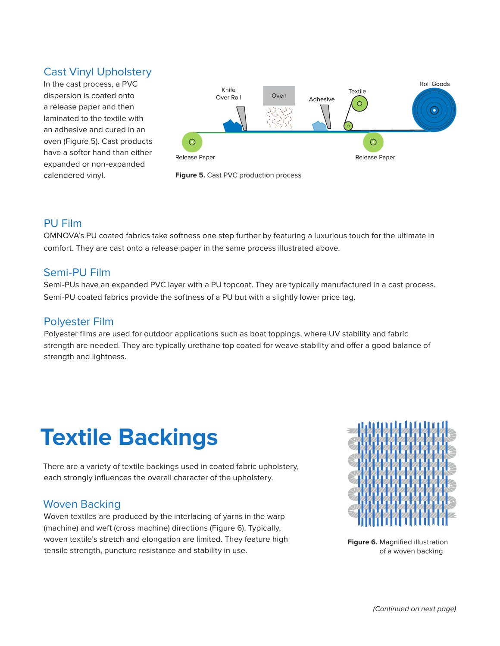#### Cast Vinyl Upholstery

In the cast process, a PVC dispersion is coated onto a release paper and then laminated to the textile with an adhesive and cured in an oven (Figure 5). Cast products have a softer hand than either expanded or non-expanded calendered vinyl.





#### PU Film

OMNOVA's PU coated fabrics take softness one step further by featuring a luxurious touch for the ultimate in comfort. They are cast onto a release paper in the same process illustrated above.

#### Semi-PU Film

Semi-PUs have an expanded PVC layer with a PU topcoat. They are typically manufactured in a cast process. Semi-PU coated fabrics provide the softness of a PU but with a slightly lower price tag.

#### Polyester Film

Polyester films are used for outdoor applications such as boat toppings, where UV stability and fabric strength are needed. They are typically urethane top coated for weave stability and offer a good balance of strength and lightness.

# **Textile Backings**

There are a variety of textile backings used in coated fabric upholstery, each strongly influences the overall character of the upholstery.

### Woven Backing

Woven textiles are produced by the interlacing of yarns in the warp (machine) and weft (cross machine) directions (Figure 6). Typically, woven textile's stretch and elongation are limited. They feature high tensile strength, puncture resistance and stability in use.



**Figure 6.** Magnified illustration of a woven backing